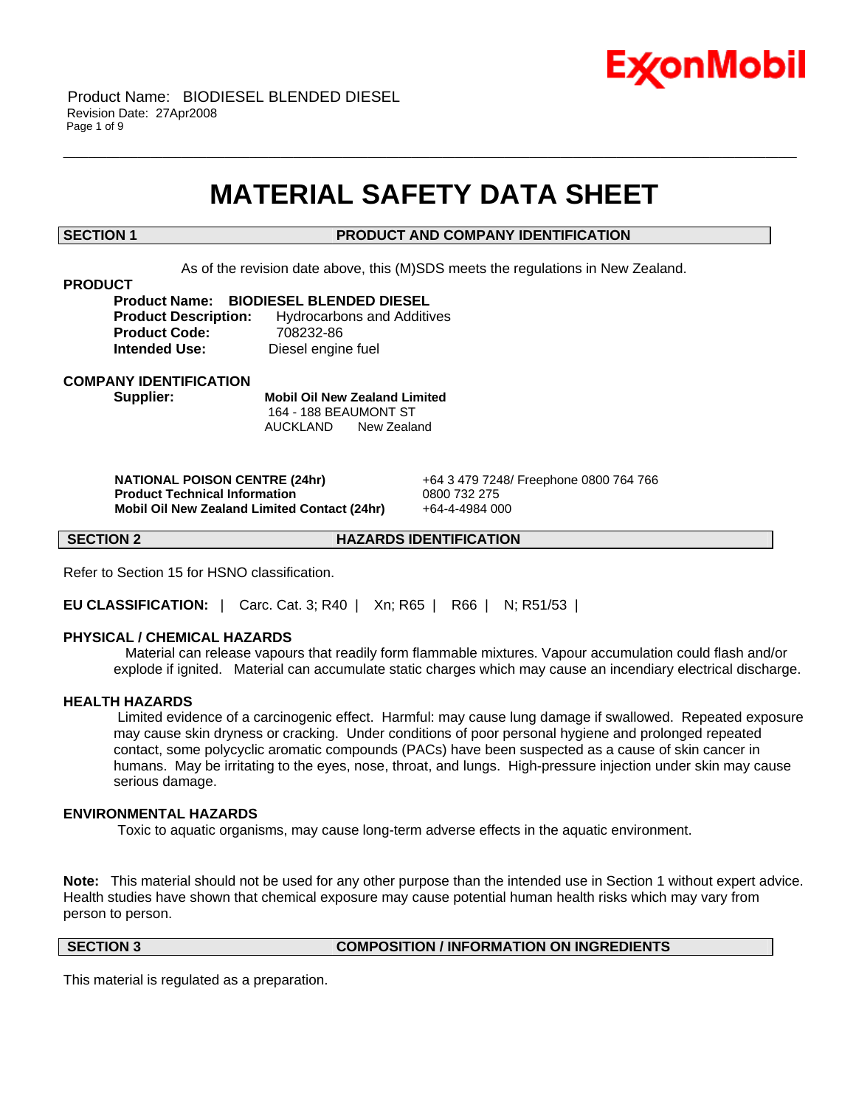

# **MATERIAL SAFETY DATA SHEET**

\_\_\_\_\_\_\_\_\_\_\_\_\_\_\_\_\_\_\_\_\_\_\_\_\_\_\_\_\_\_\_\_\_\_\_\_\_\_\_\_\_\_\_\_\_\_\_\_\_\_\_\_\_\_\_\_\_\_\_\_\_\_\_\_\_\_\_\_\_\_\_\_\_\_\_\_\_\_\_\_\_\_\_\_\_\_\_\_\_\_\_\_\_\_\_\_\_\_\_\_\_\_\_\_\_\_\_\_\_\_\_\_\_\_\_\_\_\_

# **SECTION 1 PRODUCT AND COMPANY IDENTIFICATION**

As of the revision date above, this (M)SDS meets the regulations in New Zealand.

### **PRODUCT**

**Product Name: BIODIESEL BLENDED DIESEL Product Description:** Hydrocarbons and Additives **Product Code:** 708232-86 **Intended Use:** Diesel engine fuel

**COMPANY IDENTIFICATION**

**Supplier: Mobil Oil New Zealand Limited** 164 - 188 BEAUMONT ST AUCKLAND New Zealand

 **NATIONAL POISON CENTRE (24hr)** +64 3 479 7248/ Freephone 0800 764 766  **Product Technical Information** 0800 732 275  **Mobil Oil New Zealand Limited Contact (24hr)** +64-4-4984 000

**SECTION 2 HAZARDS IDENTIFICATION** 

Refer to Section 15 for HSNO classification.

**EU CLASSIFICATION:** | Carc. Cat. 3; R40 | Xn; R65 | R66 | N; R51/53 |

# **PHYSICAL / CHEMICAL HAZARDS**

 Material can release vapours that readily form flammable mixtures. Vapour accumulation could flash and/or explode if ignited. Material can accumulate static charges which may cause an incendiary electrical discharge.

### **HEALTH HAZARDS**

 Limited evidence of a carcinogenic effect. Harmful: may cause lung damage if swallowed. Repeated exposure may cause skin dryness or cracking. Under conditions of poor personal hygiene and prolonged repeated contact, some polycyclic aromatic compounds (PACs) have been suspected as a cause of skin cancer in humans. May be irritating to the eyes, nose, throat, and lungs. High-pressure injection under skin may cause serious damage.

# **ENVIRONMENTAL HAZARDS**

Toxic to aquatic organisms, may cause long-term adverse effects in the aquatic environment.

**Note:** This material should not be used for any other purpose than the intended use in Section 1 without expert advice. Health studies have shown that chemical exposure may cause potential human health risks which may vary from person to person.

**SECTION 3 COMPOSITION / INFORMATION ON INGREDIENTS**

This material is regulated as a preparation.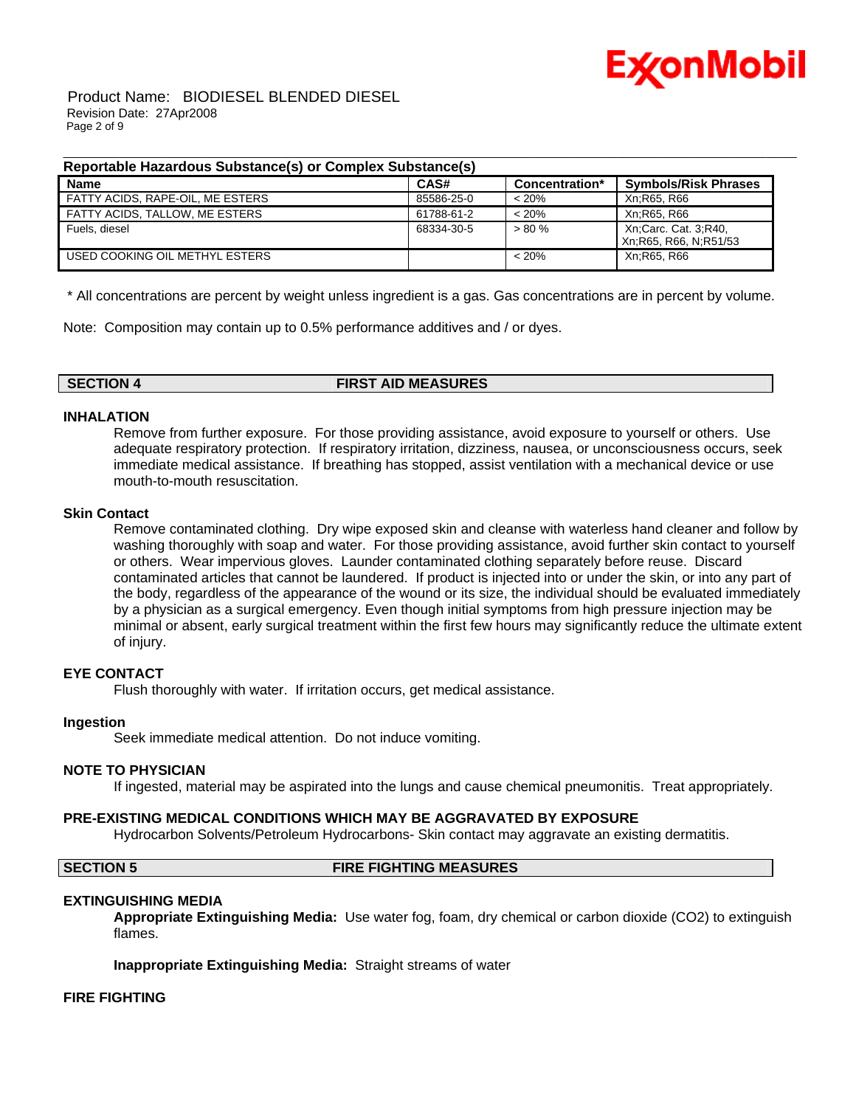

 Product Name: BIODIESEL BLENDED DIESEL Revision Date: 27Apr2008 Page 2 of 9

### **Reportable Hazardous Substance(s) or Complex Substance(s)**

| <b>Name</b>                      | CAS#       | Concentration* | <b>Symbols/Risk Phrases</b>                     |
|----------------------------------|------------|----------------|-------------------------------------------------|
| FATTY ACIDS, RAPE-OIL, ME ESTERS | 85586-25-0 | < 20%          | Xn:R65, R66                                     |
| FATTY ACIDS, TALLOW, ME ESTERS   | 61788-61-2 | < 20%          | Xn:R65, R66                                     |
| Fuels, diesel                    | 68334-30-5 | $> 80 \%$      | Xn:Carc. Cat. 3:R40.<br>Xn; R65, R66, N; R51/53 |
| USED COOKING OIL METHYL ESTERS   |            | < 20%          | Xn:R65, R66                                     |

\_\_\_\_\_\_\_\_\_\_\_\_\_\_\_\_\_\_\_\_\_\_\_\_\_\_\_\_\_\_\_\_\_\_\_\_\_\_\_\_\_\_\_\_\_\_\_\_\_\_\_\_\_\_\_\_\_\_\_\_\_\_\_\_\_\_\_\_\_\_\_\_\_\_\_\_\_\_\_\_\_\_\_\_\_\_\_\_\_\_\_\_\_\_\_\_\_\_\_\_\_\_\_\_\_\_\_\_\_\_\_\_\_\_\_\_\_\_

\* All concentrations are percent by weight unless ingredient is a gas. Gas concentrations are in percent by volume.

Note: Composition may contain up to 0.5% performance additives and / or dyes.

**SECTION 4 FIRST AID MEASURES**

# **INHALATION**

Remove from further exposure. For those providing assistance, avoid exposure to yourself or others. Use adequate respiratory protection. If respiratory irritation, dizziness, nausea, or unconsciousness occurs, seek immediate medical assistance. If breathing has stopped, assist ventilation with a mechanical device or use mouth-to-mouth resuscitation.

### **Skin Contact**

Remove contaminated clothing. Dry wipe exposed skin and cleanse with waterless hand cleaner and follow by washing thoroughly with soap and water. For those providing assistance, avoid further skin contact to yourself or others. Wear impervious gloves. Launder contaminated clothing separately before reuse. Discard contaminated articles that cannot be laundered. If product is injected into or under the skin, or into any part of the body, regardless of the appearance of the wound or its size, the individual should be evaluated immediately by a physician as a surgical emergency. Even though initial symptoms from high pressure injection may be minimal or absent, early surgical treatment within the first few hours may significantly reduce the ultimate extent of injury.

# **EYE CONTACT**

Flush thoroughly with water. If irritation occurs, get medical assistance.

# **Ingestion**

Seek immediate medical attention. Do not induce vomiting.

### **NOTE TO PHYSICIAN**

If ingested, material may be aspirated into the lungs and cause chemical pneumonitis. Treat appropriately.

### **PRE-EXISTING MEDICAL CONDITIONS WHICH MAY BE AGGRAVATED BY EXPOSURE**

Hydrocarbon Solvents/Petroleum Hydrocarbons- Skin contact may aggravate an existing dermatitis.

# **SECTION 5 FIRE FIGHTING MEASURES**

# **EXTINGUISHING MEDIA**

**Appropriate Extinguishing Media:** Use water fog, foam, dry chemical or carbon dioxide (CO2) to extinguish flames.

**Inappropriate Extinguishing Media:** Straight streams of water

# **FIRE FIGHTING**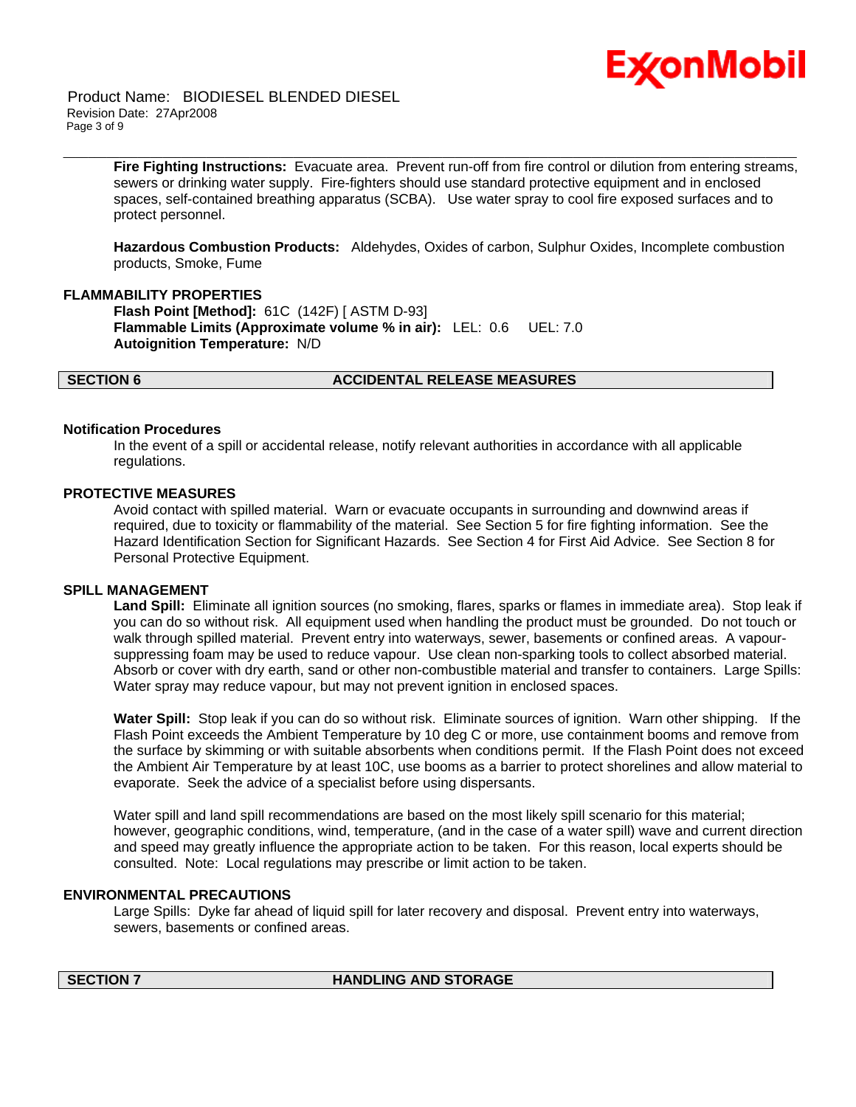

 Product Name: BIODIESEL BLENDED DIESEL Revision Date: 27Apr2008 Page 3 of 9

> **Fire Fighting Instructions:** Evacuate area. Prevent run-off from fire control or dilution from entering streams, sewers or drinking water supply. Fire-fighters should use standard protective equipment and in enclosed spaces, self-contained breathing apparatus (SCBA). Use water spray to cool fire exposed surfaces and to protect personnel.

\_\_\_\_\_\_\_\_\_\_\_\_\_\_\_\_\_\_\_\_\_\_\_\_\_\_\_\_\_\_\_\_\_\_\_\_\_\_\_\_\_\_\_\_\_\_\_\_\_\_\_\_\_\_\_\_\_\_\_\_\_\_\_\_\_\_\_\_\_\_\_\_\_\_\_\_\_\_\_\_\_\_\_\_\_\_\_\_\_\_\_\_\_\_\_\_\_\_\_\_\_\_\_\_\_\_\_\_\_\_\_\_\_\_\_\_\_\_

**Hazardous Combustion Products:** Aldehydes, Oxides of carbon, Sulphur Oxides, Incomplete combustion products, Smoke, Fume

### **FLAMMABILITY PROPERTIES**

**Flash Point [Method]:** 61C (142F) [ ASTM D-93] **Flammable Limits (Approximate volume % in air):** LEL: 0.6 UEL: 7.0 **Autoignition Temperature:** N/D

### **SECTION 6 ACCIDENTAL RELEASE MEASURES**

### **Notification Procedures**

In the event of a spill or accidental release, notify relevant authorities in accordance with all applicable regulations.

# **PROTECTIVE MEASURES**

Avoid contact with spilled material. Warn or evacuate occupants in surrounding and downwind areas if required, due to toxicity or flammability of the material. See Section 5 for fire fighting information. See the Hazard Identification Section for Significant Hazards. See Section 4 for First Aid Advice. See Section 8 for Personal Protective Equipment.

### **SPILL MANAGEMENT**

**Land Spill:** Eliminate all ignition sources (no smoking, flares, sparks or flames in immediate area). Stop leak if you can do so without risk. All equipment used when handling the product must be grounded. Do not touch or walk through spilled material. Prevent entry into waterways, sewer, basements or confined areas. A vapoursuppressing foam may be used to reduce vapour. Use clean non-sparking tools to collect absorbed material. Absorb or cover with dry earth, sand or other non-combustible material and transfer to containers. Large Spills: Water spray may reduce vapour, but may not prevent ignition in enclosed spaces.

**Water Spill:** Stop leak if you can do so without risk. Eliminate sources of ignition. Warn other shipping. If the Flash Point exceeds the Ambient Temperature by 10 deg C or more, use containment booms and remove from the surface by skimming or with suitable absorbents when conditions permit. If the Flash Point does not exceed the Ambient Air Temperature by at least 10C, use booms as a barrier to protect shorelines and allow material to evaporate. Seek the advice of a specialist before using dispersants.

Water spill and land spill recommendations are based on the most likely spill scenario for this material; however, geographic conditions, wind, temperature, (and in the case of a water spill) wave and current direction and speed may greatly influence the appropriate action to be taken. For this reason, local experts should be consulted. Note: Local regulations may prescribe or limit action to be taken.

# **ENVIRONMENTAL PRECAUTIONS**

Large Spills: Dyke far ahead of liquid spill for later recovery and disposal. Prevent entry into waterways, sewers, basements or confined areas.

### **SECTION 7 HANDLING AND STORAGE**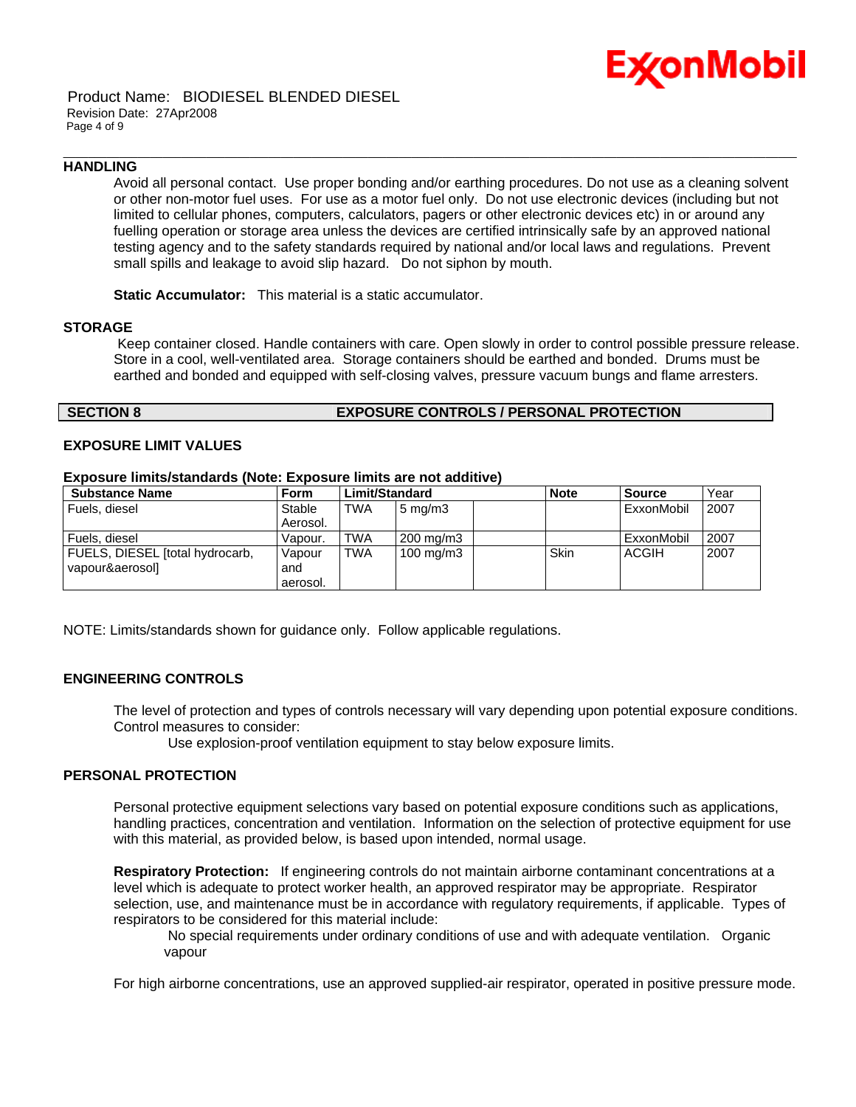

### Product Name: BIODIESEL BLENDED DIESEL Revision Date: 27Apr2008 Page 4 of 9

### **HANDLING**

Avoid all personal contact. Use proper bonding and/or earthing procedures. Do not use as a cleaning solvent or other non-motor fuel uses. For use as a motor fuel only. Do not use electronic devices (including but not limited to cellular phones, computers, calculators, pagers or other electronic devices etc) in or around any fuelling operation or storage area unless the devices are certified intrinsically safe by an approved national testing agency and to the safety standards required by national and/or local laws and regulations. Prevent small spills and leakage to avoid slip hazard. Do not siphon by mouth.

\_\_\_\_\_\_\_\_\_\_\_\_\_\_\_\_\_\_\_\_\_\_\_\_\_\_\_\_\_\_\_\_\_\_\_\_\_\_\_\_\_\_\_\_\_\_\_\_\_\_\_\_\_\_\_\_\_\_\_\_\_\_\_\_\_\_\_\_\_\_\_\_\_\_\_\_\_\_\_\_\_\_\_\_\_\_\_\_\_\_\_\_\_\_\_\_\_\_\_\_\_\_\_\_\_\_\_\_\_\_\_\_\_\_\_\_\_\_

**Static Accumulator:** This material is a static accumulator.

### **STORAGE**

 Keep container closed. Handle containers with care. Open slowly in order to control possible pressure release. Store in a cool, well-ventilated area. Storage containers should be earthed and bonded. Drums must be earthed and bonded and equipped with self-closing valves, pressure vacuum bungs and flame arresters.

# **SECTION 8 EXPOSURE CONTROLS / PERSONAL PROTECTION**

# **EXPOSURE LIMIT VALUES**

### **Exposure limits/standards (Note: Exposure limits are not additive)**

| <b>Substance Name</b>           | <b>Form</b> | Limit/Standard |                      | <b>Note</b> | <b>Source</b> | Year |
|---------------------------------|-------------|----------------|----------------------|-------------|---------------|------|
| Fuels, diesel                   | Stable      | <b>TWA</b>     | $5 \text{ mg/m}$     |             | ExxonMobil    | 2007 |
|                                 | Aerosol.    |                |                      |             |               |      |
| Fuels, diesel                   | Vapour.     | TWA            | 200 mg/m3            |             | ExxonMobil    | 2007 |
| FUELS, DIESEL [total hydrocarb, | Vapour      | <b>TWA</b>     | $100 \text{ mg/m}$ 3 | <b>Skin</b> | <b>ACGIH</b>  | 2007 |
| vapour&aerosol]                 | and         |                |                      |             |               |      |
|                                 | aerosol.    |                |                      |             |               |      |

NOTE: Limits/standards shown for guidance only. Follow applicable regulations.

# **ENGINEERING CONTROLS**

The level of protection and types of controls necessary will vary depending upon potential exposure conditions. Control measures to consider:

Use explosion-proof ventilation equipment to stay below exposure limits.

### **PERSONAL PROTECTION**

Personal protective equipment selections vary based on potential exposure conditions such as applications, handling practices, concentration and ventilation. Information on the selection of protective equipment for use with this material, as provided below, is based upon intended, normal usage.

**Respiratory Protection:** If engineering controls do not maintain airborne contaminant concentrations at a level which is adequate to protect worker health, an approved respirator may be appropriate. Respirator selection, use, and maintenance must be in accordance with regulatory requirements, if applicable. Types of respirators to be considered for this material include:

 No special requirements under ordinary conditions of use and with adequate ventilation. Organic vapour

For high airborne concentrations, use an approved supplied-air respirator, operated in positive pressure mode.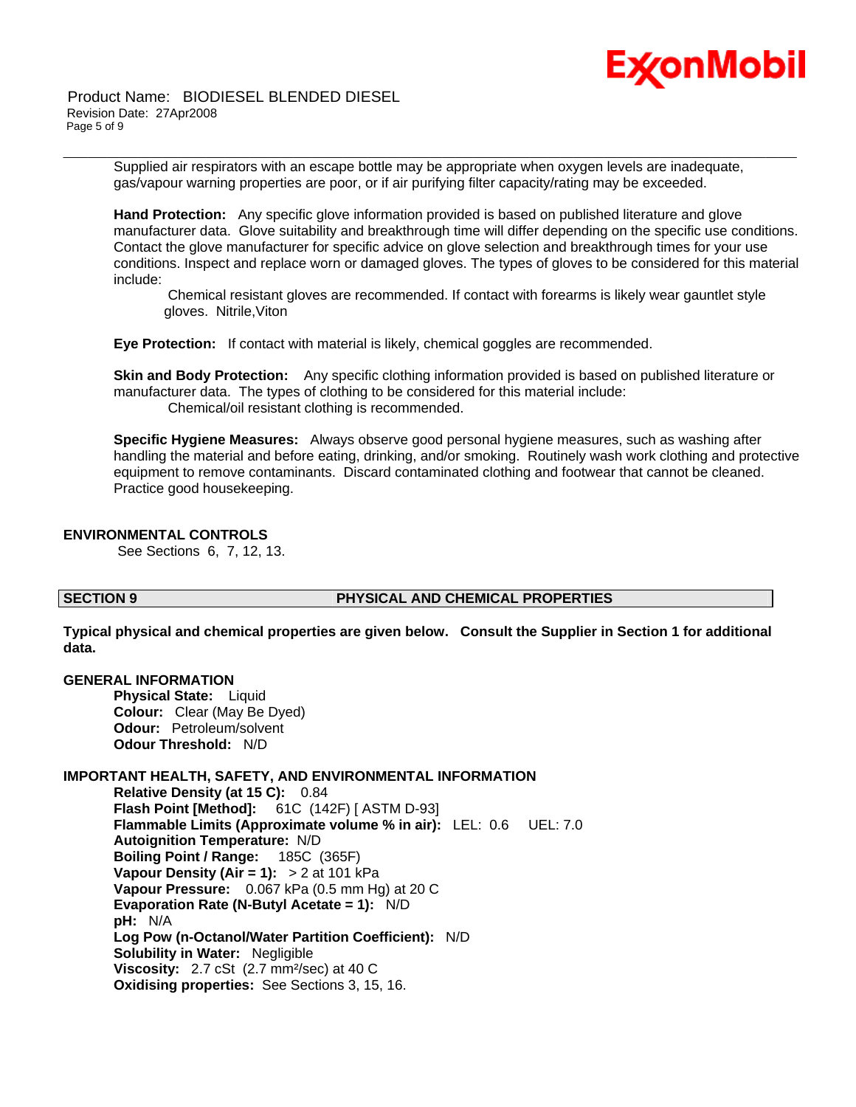

 Product Name: BIODIESEL BLENDED DIESEL Revision Date: 27Apr2008 Page 5 of 9

\_\_\_\_\_\_\_\_\_\_\_\_\_\_\_\_\_\_\_\_\_\_\_\_\_\_\_\_\_\_\_\_\_\_\_\_\_\_\_\_\_\_\_\_\_\_\_\_\_\_\_\_\_\_\_\_\_\_\_\_\_\_\_\_\_\_\_\_\_\_\_\_\_\_\_\_\_\_\_\_\_\_\_\_\_\_\_\_\_\_\_\_\_\_\_\_\_\_\_\_\_\_\_\_\_\_\_\_\_\_\_\_\_\_\_\_\_\_ Supplied air respirators with an escape bottle may be appropriate when oxygen levels are inadequate, gas/vapour warning properties are poor, or if air purifying filter capacity/rating may be exceeded.

**Hand Protection:** Any specific glove information provided is based on published literature and glove manufacturer data. Glove suitability and breakthrough time will differ depending on the specific use conditions. Contact the glove manufacturer for specific advice on glove selection and breakthrough times for your use conditions. Inspect and replace worn or damaged gloves. The types of gloves to be considered for this material include:

 Chemical resistant gloves are recommended. If contact with forearms is likely wear gauntlet style gloves. Nitrile,Viton

**Eye Protection:** If contact with material is likely, chemical goggles are recommended.

**Skin and Body Protection:** Any specific clothing information provided is based on published literature or manufacturer data. The types of clothing to be considered for this material include: Chemical/oil resistant clothing is recommended.

**Specific Hygiene Measures:** Always observe good personal hygiene measures, such as washing after handling the material and before eating, drinking, and/or smoking. Routinely wash work clothing and protective equipment to remove contaminants. Discard contaminated clothing and footwear that cannot be cleaned. Practice good housekeeping.

# **ENVIRONMENTAL CONTROLS**

See Sections 6, 7, 12, 13.

# **SECTION 9 PHYSICAL AND CHEMICAL PROPERTIES**

**Typical physical and chemical properties are given below. Consult the Supplier in Section 1 for additional data.**

# **GENERAL INFORMATION**

**Physical State:** Liquid **Colour:** Clear (May Be Dyed) **Odour:** Petroleum/solvent **Odour Threshold:** N/D

# **IMPORTANT HEALTH, SAFETY, AND ENVIRONMENTAL INFORMATION**

**Relative Density (at 15 C):** 0.84 **Flash Point [Method]:** 61C (142F) [ ASTM D-93] **Flammable Limits (Approximate volume % in air):** LEL: 0.6 UEL: 7.0 **Autoignition Temperature:** N/D **Boiling Point / Range:** 185C (365F) **Vapour Density (Air = 1):** > 2 at 101 kPa **Vapour Pressure:** 0.067 kPa (0.5 mm Hg) at 20 C **Evaporation Rate (N-Butyl Acetate = 1):** N/D **pH:** N/A **Log Pow (n-Octanol/Water Partition Coefficient):** N/D **Solubility in Water:** Negligible **Viscosity:** 2.7 cSt (2.7 mm²/sec) at 40 C **Oxidising properties:** See Sections 3, 15, 16.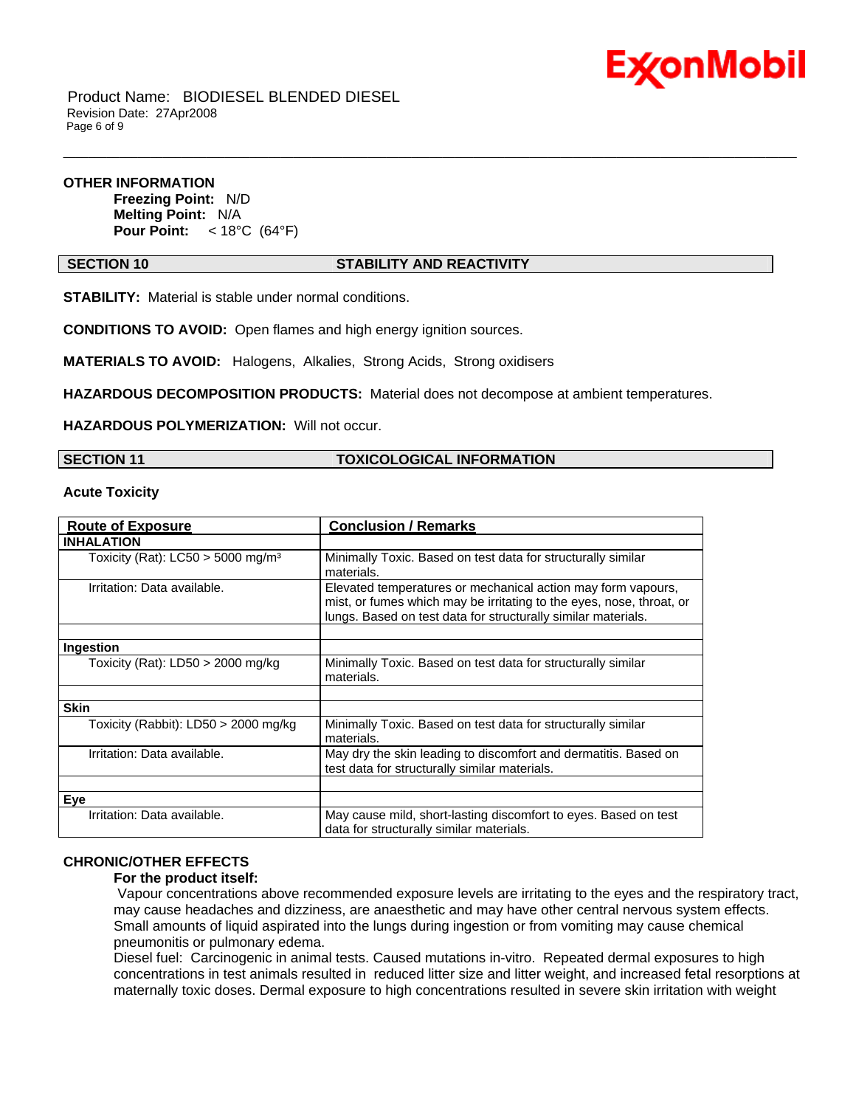

 Product Name: BIODIESEL BLENDED DIESEL Revision Date: 27Apr2008 Page 6 of 9

# **OTHER INFORMATION**

**Freezing Point:** N/D **Melting Point:** N/A **Pour Point:** < 18°C (64°F)

# **SECTION 10 STABILITY AND REACTIVITY**

\_\_\_\_\_\_\_\_\_\_\_\_\_\_\_\_\_\_\_\_\_\_\_\_\_\_\_\_\_\_\_\_\_\_\_\_\_\_\_\_\_\_\_\_\_\_\_\_\_\_\_\_\_\_\_\_\_\_\_\_\_\_\_\_\_\_\_\_\_\_\_\_\_\_\_\_\_\_\_\_\_\_\_\_\_\_\_\_\_\_\_\_\_\_\_\_\_\_\_\_\_\_\_\_\_\_\_\_\_\_\_\_\_\_\_\_\_\_

**STABILITY:** Material is stable under normal conditions.

**CONDITIONS TO AVOID:** Open flames and high energy ignition sources.

**MATERIALS TO AVOID:** Halogens, Alkalies, Strong Acids, Strong oxidisers

**HAZARDOUS DECOMPOSITION PRODUCTS:** Material does not decompose at ambient temperatures.

**HAZARDOUS POLYMERIZATION:** Will not occur.

### **SECTION 11 TOXICOLOGICAL INFORMATION**

**Acute Toxicity**

| <b>Route of Exposure</b>                        | <b>Conclusion / Remarks</b>                                                                                                                                                                           |  |  |
|-------------------------------------------------|-------------------------------------------------------------------------------------------------------------------------------------------------------------------------------------------------------|--|--|
| <b>INHALATION</b>                               |                                                                                                                                                                                                       |  |  |
| Toxicity (Rat): $LC50 > 5000$ mg/m <sup>3</sup> | Minimally Toxic. Based on test data for structurally similar<br>materials.                                                                                                                            |  |  |
| Irritation: Data available.                     | Elevated temperatures or mechanical action may form vapours,<br>mist, or fumes which may be irritating to the eyes, nose, throat, or<br>lungs. Based on test data for structurally similar materials. |  |  |
| Ingestion                                       |                                                                                                                                                                                                       |  |  |
| Toxicity (Rat): $LD50 > 2000$ mg/kg             | Minimally Toxic. Based on test data for structurally similar<br>materials.                                                                                                                            |  |  |
| <b>Skin</b>                                     |                                                                                                                                                                                                       |  |  |
| Toxicity (Rabbit): LD50 $>$ 2000 mg/kg          | Minimally Toxic. Based on test data for structurally similar<br>materials.                                                                                                                            |  |  |
| Irritation: Data available.                     | May dry the skin leading to discomfort and dermatitis. Based on<br>test data for structurally similar materials.                                                                                      |  |  |
|                                                 |                                                                                                                                                                                                       |  |  |
| Eve                                             |                                                                                                                                                                                                       |  |  |
| Irritation: Data available.                     | May cause mild, short-lasting discomfort to eyes. Based on test<br>data for structurally similar materials.                                                                                           |  |  |

# **CHRONIC/OTHER EFFECTS**

### **For the product itself:**

 Vapour concentrations above recommended exposure levels are irritating to the eyes and the respiratory tract, may cause headaches and dizziness, are anaesthetic and may have other central nervous system effects. Small amounts of liquid aspirated into the lungs during ingestion or from vomiting may cause chemical pneumonitis or pulmonary edema.

Diesel fuel: Carcinogenic in animal tests. Caused mutations in-vitro. Repeated dermal exposures to high concentrations in test animals resulted in reduced litter size and litter weight, and increased fetal resorptions at maternally toxic doses. Dermal exposure to high concentrations resulted in severe skin irritation with weight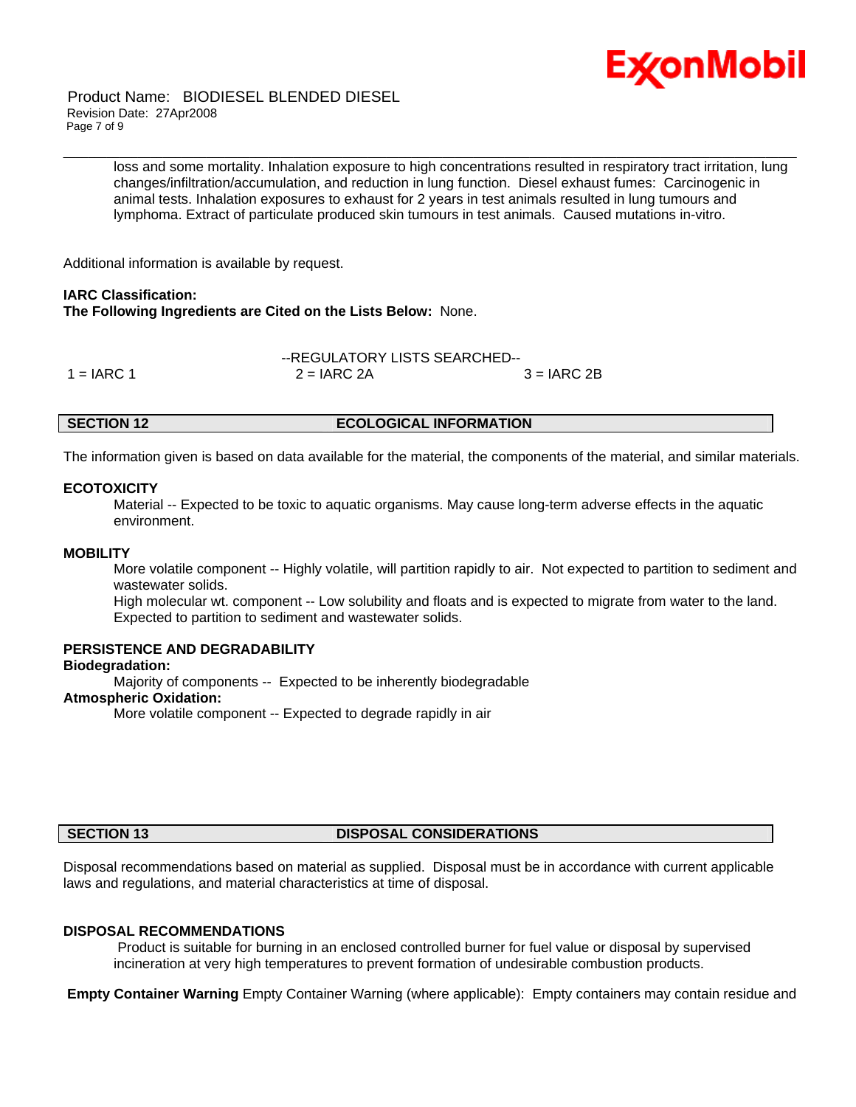

 Product Name: BIODIESEL BLENDED DIESEL Revision Date: 27Apr2008 Page 7 of 9

> loss and some mortality. Inhalation exposure to high concentrations resulted in respiratory tract irritation, lung changes/infiltration/accumulation, and reduction in lung function. Diesel exhaust fumes: Carcinogenic in animal tests. Inhalation exposures to exhaust for 2 years in test animals resulted in lung tumours and lymphoma. Extract of particulate produced skin tumours in test animals. Caused mutations in-vitro.

\_\_\_\_\_\_\_\_\_\_\_\_\_\_\_\_\_\_\_\_\_\_\_\_\_\_\_\_\_\_\_\_\_\_\_\_\_\_\_\_\_\_\_\_\_\_\_\_\_\_\_\_\_\_\_\_\_\_\_\_\_\_\_\_\_\_\_\_\_\_\_\_\_\_\_\_\_\_\_\_\_\_\_\_\_\_\_\_\_\_\_\_\_\_\_\_\_\_\_\_\_\_\_\_\_\_\_\_\_\_\_\_\_\_\_\_\_\_

Additional information is available by request.

# **IARC Classification:**

**The Following Ingredients are Cited on the Lists Below:** None.

|              |               | --REGULATORY LISTS SEARCHED-- |  |  |  |
|--------------|---------------|-------------------------------|--|--|--|
| $1 = IARC 1$ | $2 = IARC 2A$ | $3 = IARC 2B$                 |  |  |  |

### **SECTION 12 ECOLOGICAL INFORMATION**

The information given is based on data available for the material, the components of the material, and similar materials.

### **ECOTOXICITY**

 Material -- Expected to be toxic to aquatic organisms. May cause long-term adverse effects in the aquatic environment.

# **MOBILITY**

 More volatile component -- Highly volatile, will partition rapidly to air. Not expected to partition to sediment and wastewater solids.

 High molecular wt. component -- Low solubility and floats and is expected to migrate from water to the land. Expected to partition to sediment and wastewater solids.

### **PERSISTENCE AND DEGRADABILITY**

# **Biodegradation:**

Majority of components -- Expected to be inherently biodegradable

### **Atmospheric Oxidation:**

More volatile component -- Expected to degrade rapidly in air

### **SECTION 13 DISPOSAL CONSIDERATIONS**

Disposal recommendations based on material as supplied. Disposal must be in accordance with current applicable laws and regulations, and material characteristics at time of disposal.

### **DISPOSAL RECOMMENDATIONS**

 Product is suitable for burning in an enclosed controlled burner for fuel value or disposal by supervised incineration at very high temperatures to prevent formation of undesirable combustion products.

**Empty Container Warning** Empty Container Warning (where applicable): Empty containers may contain residue and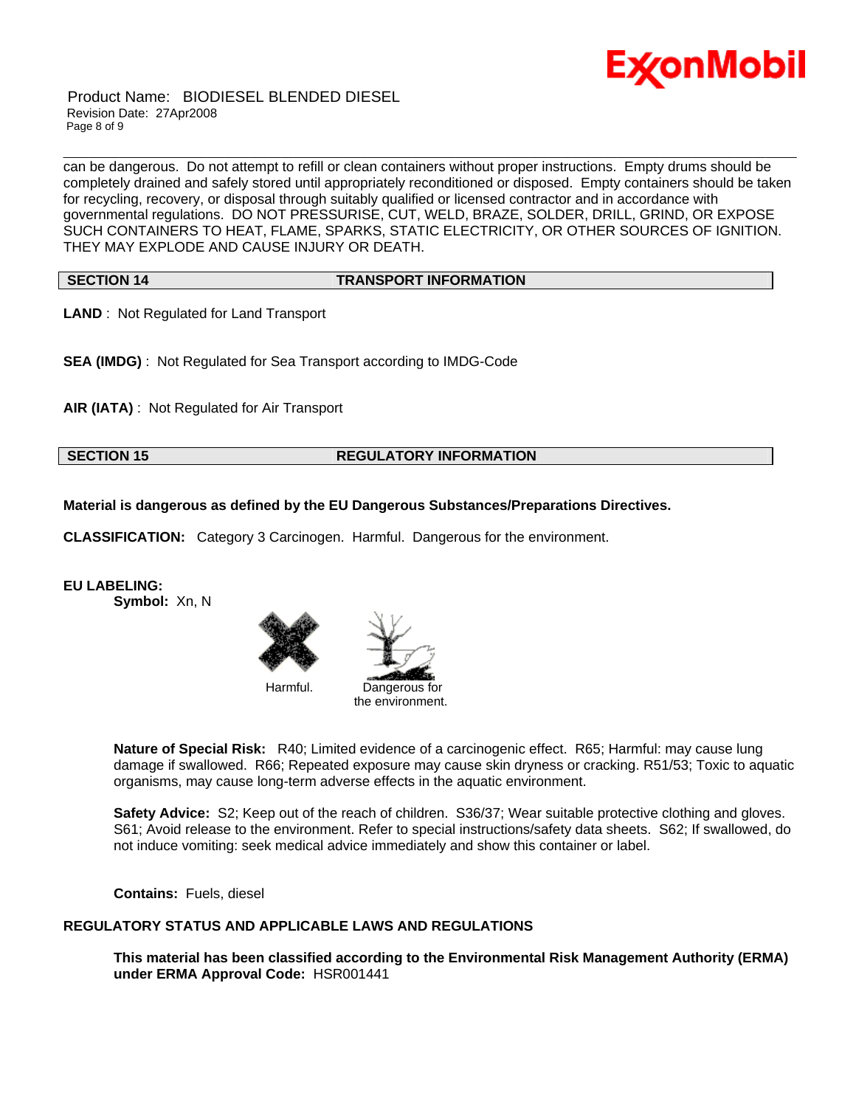

 Product Name: BIODIESEL BLENDED DIESEL Revision Date: 27Apr2008 Page 8 of 9

\_\_\_\_\_\_\_\_\_\_\_\_\_\_\_\_\_\_\_\_\_\_\_\_\_\_\_\_\_\_\_\_\_\_\_\_\_\_\_\_\_\_\_\_\_\_\_\_\_\_\_\_\_\_\_\_\_\_\_\_\_\_\_\_\_\_\_\_\_\_\_\_\_\_\_\_\_\_\_\_\_\_\_\_\_\_\_\_\_\_\_\_\_\_\_\_\_\_\_\_\_\_\_\_\_\_\_\_\_\_\_\_\_\_\_\_\_\_ can be dangerous. Do not attempt to refill or clean containers without proper instructions. Empty drums should be completely drained and safely stored until appropriately reconditioned or disposed. Empty containers should be taken for recycling, recovery, or disposal through suitably qualified or licensed contractor and in accordance with governmental regulations. DO NOT PRESSURISE, CUT, WELD, BRAZE, SOLDER, DRILL, GRIND, OR EXPOSE SUCH CONTAINERS TO HEAT, FLAME, SPARKS, STATIC ELECTRICITY, OR OTHER SOURCES OF IGNITION. THEY MAY EXPLODE AND CAUSE INJURY OR DEATH.

**SECTION 14 TRANSPORT INFORMATION**

**LAND** : Not Regulated for Land Transport

**SEA (IMDG)** : Not Regulated for Sea Transport according to IMDG-Code

**AIR (IATA)** : Not Regulated for Air Transport

# **SECTION 15 REGULATORY INFORMATION**

**Material is dangerous as defined by the EU Dangerous Substances/Preparations Directives.**

**CLASSIFICATION:** Category 3 Carcinogen. Harmful. Dangerous for the environment.

**EU LABELING:**

**Symbol:** Xn, N





**Nature of Special Risk:** R40; Limited evidence of a carcinogenic effect. R65; Harmful: may cause lung damage if swallowed. R66; Repeated exposure may cause skin dryness or cracking. R51/53; Toxic to aquatic organisms, may cause long-term adverse effects in the aquatic environment.

**Safety Advice:** S2; Keep out of the reach of children. S36/37; Wear suitable protective clothing and gloves. S61; Avoid release to the environment. Refer to special instructions/safety data sheets. S62; If swallowed, do not induce vomiting: seek medical advice immediately and show this container or label.

**Contains:** Fuels, diesel

# **REGULATORY STATUS AND APPLICABLE LAWS AND REGULATIONS**

**This material has been classified according to the Environmental Risk Management Authority (ERMA) under ERMA Approval Code:** HSR001441